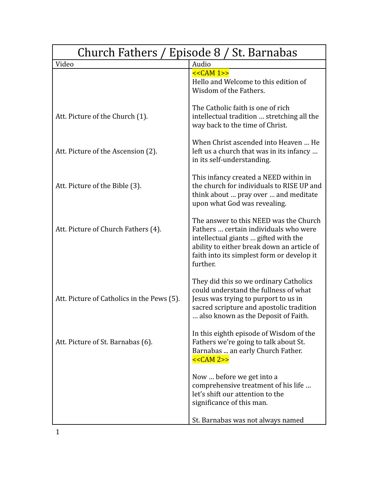| Church Fathers / Episode 8 / St. Barnabas  |                                                                                                                                                                                                                                 |
|--------------------------------------------|---------------------------------------------------------------------------------------------------------------------------------------------------------------------------------------------------------------------------------|
| Video                                      | Audio                                                                                                                                                                                                                           |
|                                            | $<<CAM 1>>$<br>Hello and Welcome to this edition of<br>Wisdom of the Fathers.                                                                                                                                                   |
| Att. Picture of the Church (1).            | The Catholic faith is one of rich<br>intellectual tradition  stretching all the<br>way back to the time of Christ.                                                                                                              |
| Att. Picture of the Ascension (2).         | When Christ ascended into Heaven  He<br>left us a church that was in its infancy<br>in its self-understanding.                                                                                                                  |
| Att. Picture of the Bible (3).             | This infancy created a NEED within in<br>the church for individuals to RISE UP and<br>think about  pray over  and meditate<br>upon what God was revealing.                                                                      |
| Att. Picture of Church Fathers (4).        | The answer to this NEED was the Church<br>Fathers  certain individuals who were<br>intellectual giants  gifted with the<br>ability to either break down an article of<br>faith into its simplest form or develop it<br>further. |
| Att. Picture of Catholics in the Pews (5). | They did this so we ordinary Catholics<br>could understand the fullness of what<br>Jesus was trying to purport to us in<br>sacred scripture and apostolic tradition<br>also known as the Deposit of Faith.                      |
| Att. Picture of St. Barnabas (6).          | In this eighth episode of Wisdom of the<br>Fathers we're going to talk about St.<br>Barnabas  an early Church Father.<br>$<<CAM 2>>$                                                                                            |
|                                            | Now  before we get into a<br>comprehensive treatment of his life<br>let's shift our attention to the<br>significance of this man.                                                                                               |
|                                            | St. Barnabas was not always named                                                                                                                                                                                               |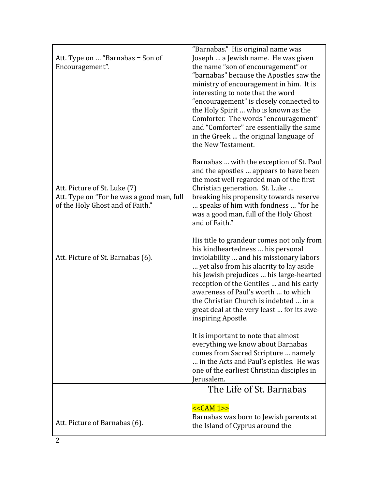| Att. Type on  "Barnabas = Son of<br>Encouragement".                                                           | "Barnabas." His original name was<br>Joseph  a Jewish name. He was given<br>the name "son of encouragement" or<br>"barnabas" because the Apostles saw the<br>ministry of encouragement in him. It is<br>interesting to note that the word<br>"encouragement" is closely connected to<br>the Holy Spirit  who is known as the<br>Comforter. The words "encouragement"<br>and "Comforter" are essentially the same<br>in the Greek  the original language of<br>the New Testament. |
|---------------------------------------------------------------------------------------------------------------|----------------------------------------------------------------------------------------------------------------------------------------------------------------------------------------------------------------------------------------------------------------------------------------------------------------------------------------------------------------------------------------------------------------------------------------------------------------------------------|
| Att. Picture of St. Luke (7)<br>Att. Type on "For he was a good man, full<br>of the Holy Ghost and of Faith." | Barnabas  with the exception of St. Paul<br>and the apostles  appears to have been<br>the most well regarded man of the first<br>Christian generation. St. Luke<br>breaking his propensity towards reserve<br>speaks of him with fondness  "for he<br>was a good man, full of the Holy Ghost<br>and of Faith."                                                                                                                                                                   |
| Att. Picture of St. Barnabas (6).                                                                             | His title to grandeur comes not only from<br>his kindheartedness  his personal<br>inviolability  and his missionary labors<br>yet also from his alacrity to lay aside<br>his Jewish prejudices  his large-hearted<br>reception of the Gentiles  and his early<br>awareness of Paul's worth  to which<br>the Christian Church is indebted  in a<br>great deal at the very least  for its awe-<br>inspiring Apostle.                                                               |
|                                                                                                               | It is important to note that almost<br>everything we know about Barnabas<br>comes from Sacred Scripture  namely<br>in the Acts and Paul's epistles. He was<br>one of the earliest Christian disciples in<br>Jerusalem.                                                                                                                                                                                                                                                           |
|                                                                                                               | The Life of St. Barnabas                                                                                                                                                                                                                                                                                                                                                                                                                                                         |
| Att. Picture of Barnabas (6).                                                                                 | $<<CAM 1>>$<br>Barnabas was born to Jewish parents at<br>the Island of Cyprus around the                                                                                                                                                                                                                                                                                                                                                                                         |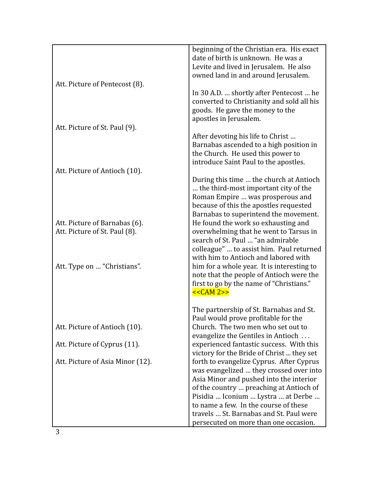|                                                                | beginning of the Christian era. His exact<br>date of birth is unknown. He was a<br>Levite and lived in Jerusalem. He also<br>owned land in and around Jerusalem.                                                                                                                                    |
|----------------------------------------------------------------|-----------------------------------------------------------------------------------------------------------------------------------------------------------------------------------------------------------------------------------------------------------------------------------------------------|
| Att. Picture of Pentecost (8).                                 | In 30 A.D.  shortly after Pentecost  he<br>converted to Christianity and sold all his<br>goods. He gave the money to the<br>apostles in Jerusalem.                                                                                                                                                  |
| Att. Picture of St. Paul (9).                                  |                                                                                                                                                                                                                                                                                                     |
|                                                                | After devoting his life to Christ<br>Barnabas ascended to a high position in<br>the Church. He used this power to<br>introduce Saint Paul to the apostles.                                                                                                                                          |
| Att. Picture of Antioch (10).                                  |                                                                                                                                                                                                                                                                                                     |
|                                                                | During this time  the church at Antioch<br>the third-most important city of the<br>Roman Empire  was prosperous and<br>because of this the apostles requested<br>Barnabas to superintend the movement.                                                                                              |
| Att. Picture of Barnabas (6).<br>Att. Picture of St. Paul (8). | He found the work so exhausting and<br>overwhelming that he went to Tarsus in<br>search of St. Paul  "an admirable<br>colleague"  to assist him. Paul returned<br>with him to Antioch and labored with                                                                                              |
| Att. Type on  "Christians".                                    | him for a whole year. It is interesting to<br>note that the people of Antioch were the<br>first to go by the name of "Christians."<br><< <b>CAM</b> 2>>                                                                                                                                             |
|                                                                | The partnership of St. Barnabas and St.                                                                                                                                                                                                                                                             |
| Att. Picture of Antioch (10).                                  | Paul would prove profitable for the<br>Church. The two men who set out to<br>evangelize the Gentiles in Antioch                                                                                                                                                                                     |
| Att. Picture of Cyprus (11).                                   | experienced fantastic success. With this<br>victory for the Bride of Christ  they set                                                                                                                                                                                                               |
| Att. Picture of Asia Minor (12).                               | forth to evangelize Cyprus. After Cyprus<br>was evangelized  they crossed over into<br>Asia Minor and pushed into the interior<br>of the country  preaching at Antioch of<br>Pisidia  Iconium  Lystra  at Derbe<br>to name a few. In the course of these<br>travels  St. Barnabas and St. Paul were |
|                                                                | persecuted on more than one occasion.                                                                                                                                                                                                                                                               |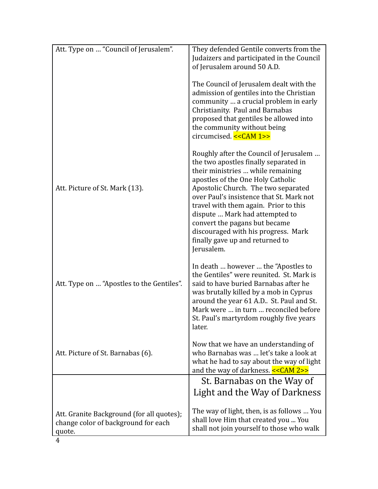| Att. Type on  "Council of Jerusalem".                                                      | They defended Gentile converts from the<br>Judaizers and participated in the Council<br>of Jerusalem around 50 A.D.                                                                                                                                                                                                                                                                                                                              |
|--------------------------------------------------------------------------------------------|--------------------------------------------------------------------------------------------------------------------------------------------------------------------------------------------------------------------------------------------------------------------------------------------------------------------------------------------------------------------------------------------------------------------------------------------------|
|                                                                                            | The Council of Jerusalem dealt with the<br>admission of gentiles into the Christian<br>community  a crucial problem in early<br>Christianity. Paul and Barnabas<br>proposed that gentiles be allowed into<br>the community without being<br>circumcised. << CAM 1>>                                                                                                                                                                              |
| Att. Picture of St. Mark (13).                                                             | Roughly after the Council of Jerusalem<br>the two apostles finally separated in<br>their ministries  while remaining<br>apostles of the One Holy Catholic<br>Apostolic Church. The two separated<br>over Paul's insistence that St. Mark not<br>travel with them again. Prior to this<br>dispute  Mark had attempted to<br>convert the pagans but became<br>discouraged with his progress. Mark<br>finally gave up and returned to<br>Jerusalem. |
| Att. Type on  "Apostles to the Gentiles".                                                  | In death  however  the "Apostles to"<br>the Gentiles" were reunited. St. Mark is<br>said to have buried Barnabas after he<br>was brutally killed by a mob in Cyprus<br>around the year 61 A.D St. Paul and St.<br>Mark were  in turn  reconciled before<br>St. Paul's martyrdom roughly five years<br>later.                                                                                                                                     |
| Att. Picture of St. Barnabas (6).                                                          | Now that we have an understanding of<br>who Barnabas was  let's take a look at<br>what he had to say about the way of light<br>and the way of darkness. << CAM 2>>                                                                                                                                                                                                                                                                               |
|                                                                                            | St. Barnabas on the Way of                                                                                                                                                                                                                                                                                                                                                                                                                       |
|                                                                                            | Light and the Way of Darkness                                                                                                                                                                                                                                                                                                                                                                                                                    |
| Att. Granite Background (for all quotes);<br>change color of background for each<br>quote. | The way of light, then, is as follows  You<br>shall love Him that created you  You<br>shall not join yourself to those who walk                                                                                                                                                                                                                                                                                                                  |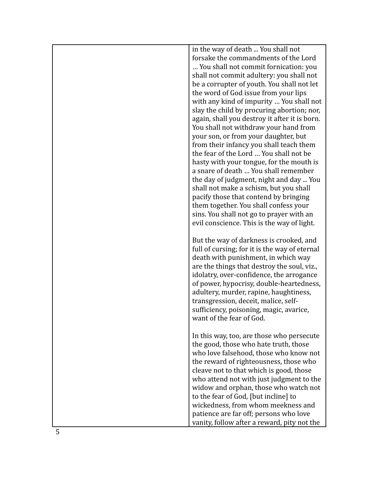| in the way of death  You shall not<br>forsake the commandments of the Lord |
|----------------------------------------------------------------------------|
|                                                                            |
| You shall not commit fornication: you                                      |
| shall not commit adultery: you shall not                                   |
| be a corrupter of youth. You shall not let                                 |
| the word of God issue from your lips                                       |
| with any kind of impurity  You shall not                                   |
| slay the child by procuring abortion; nor,                                 |
| again, shall you destroy it after it is born.                              |
| You shall not withdraw your hand from                                      |
| your son, or from your daughter, but                                       |
| from their infancy you shall teach them                                    |
| the fear of the Lord  You shall not be                                     |
| hasty with your tongue, for the mouth is                                   |
| a snare of death  You shall remember                                       |
| the day of judgment, night and day  You                                    |
| shall not make a schism, but you shall                                     |
| pacify those that contend by bringing                                      |
| them together. You shall confess your                                      |
| sins. You shall not go to prayer with an                                   |
| evil conscience. This is the way of light.                                 |
| But the way of darkness is crooked, and                                    |
| full of cursing; for it is the way of eternal                              |
| death with punishment, in which way                                        |
| are the things that destroy the soul, viz.,                                |
| idolatry, over-confidence, the arrogance                                   |
| of power, hypocrisy, double-heartedness,                                   |
| adultery, murder, rapine, haughtiness,                                     |
| transgression, deceit, malice, self-                                       |
| sufficiency, poisoning, magic, avarice,                                    |
| want of the fear of God.                                                   |
|                                                                            |
| In this way, too, are those who persecute                                  |
| the good, those who hate truth, those                                      |
| who love falsehood, those who know not                                     |
| the reward of righteousness, those who                                     |
| cleave not to that which is good, those                                    |
| who attend not with just judgment to the                                   |
| widow and orphan, those who watch not                                      |
| to the fear of God, [but incline] to                                       |
| wickedness, from whom meekness and                                         |
| patience are far off; persons who love                                     |
| vanity, follow after a reward, pity not the                                |